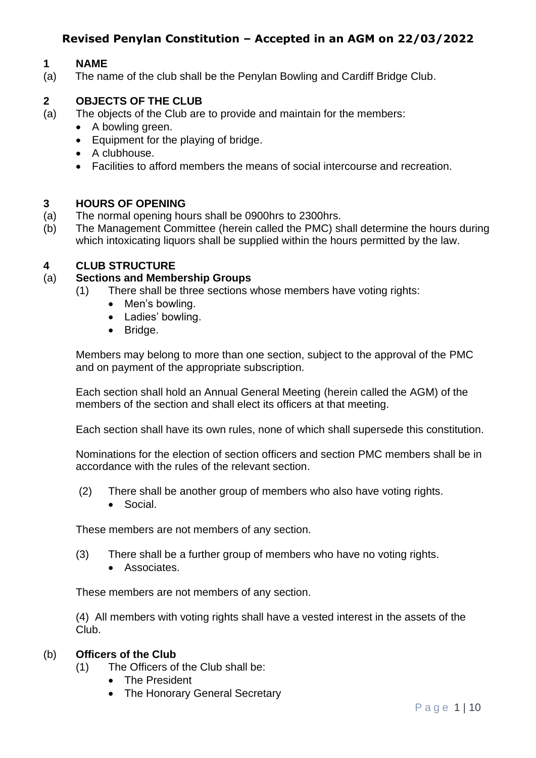## **1 NAME**

(a) The name of the club shall be the Penylan Bowling and Cardiff Bridge Club.

## **2 OBJECTS OF THE CLUB**

- (a) The objects of the Club are to provide and maintain for the members:
	- A bowling green.
	- Equipment for the playing of bridge.
	- A clubhouse.
	- Facilities to afford members the means of social intercourse and recreation.

## **3 HOURS OF OPENING**

- (a) The normal opening hours shall be 0900hrs to 2300hrs.
- (b) The Management Committee (herein called the PMC) shall determine the hours during which intoxicating liquors shall be supplied within the hours permitted by the law.

#### **4 CLUB STRUCTURE**

#### (a) **Sections and Membership Groups**

- (1) There shall be three sections whose members have voting rights:
	- Men's bowling.
	- Ladies' bowling.
	- Bridge.

Members may belong to more than one section, subject to the approval of the PMC and on payment of the appropriate subscription.

Each section shall hold an Annual General Meeting (herein called the AGM) of the members of the section and shall elect its officers at that meeting.

Each section shall have its own rules, none of which shall supersede this constitution.

Nominations for the election of section officers and section PMC members shall be in accordance with the rules of the relevant section.

- (2) There shall be another group of members who also have voting rights.
	- Social.

These members are not members of any section.

- (3) There shall be a further group of members who have no voting rights.
	- Associates.

These members are not members of any section.

(4) All members with voting rights shall have a vested interest in the assets of the Club.

## (b) **Officers of the Club**

- (1) The Officers of the Club shall be:
	- The President
	- The Honorary General Secretary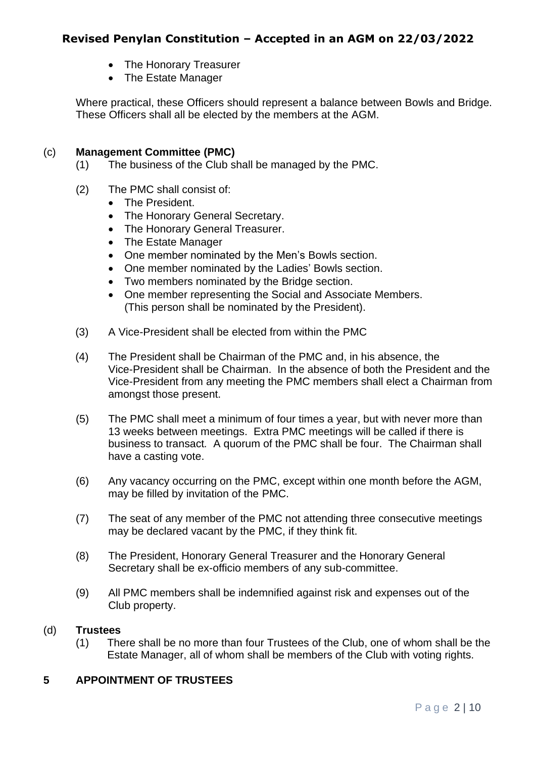- The Honorary Treasurer
- The Estate Manager

Where practical, these Officers should represent a balance between Bowls and Bridge. These Officers shall all be elected by the members at the AGM.

## (c) **Management Committee (PMC)**

- (1) The business of the Club shall be managed by the PMC.
- (2) The PMC shall consist of:
	- The President.
	- The Honorary General Secretary.
	- The Honorary General Treasurer.
	- The Estate Manager
	- One member nominated by the Men's Bowls section.
	- One member nominated by the Ladies' Bowls section.
	- Two members nominated by the Bridge section.
	- One member representing the Social and Associate Members. (This person shall be nominated by the President).
- (3) A Vice-President shall be elected from within the PMC
- (4) The President shall be Chairman of the PMC and, in his absence, the Vice-President shall be Chairman. In the absence of both the President and the Vice-President from any meeting the PMC members shall elect a Chairman from amongst those present.
- (5) The PMC shall meet a minimum of four times a year, but with never more than 13 weeks between meetings. Extra PMC meetings will be called if there is business to transact*.* A quorum of the PMC shall be four. The Chairman shall have a casting vote.
- (6) Any vacancy occurring on the PMC, except within one month before the AGM, may be filled by invitation of the PMC.
- (7) The seat of any member of the PMC not attending three consecutive meetings may be declared vacant by the PMC, if they think fit.
- (8) The President, Honorary General Treasurer and the Honorary General Secretary shall be ex-officio members of any sub-committee.
- (9) All PMC members shall be indemnified against risk and expenses out of the Club property.

## (d) **Trustees**

(1) There shall be no more than four Trustees of the Club, one of whom shall be the Estate Manager, all of whom shall be members of the Club with voting rights.

## **5 APPOINTMENT OF TRUSTEES**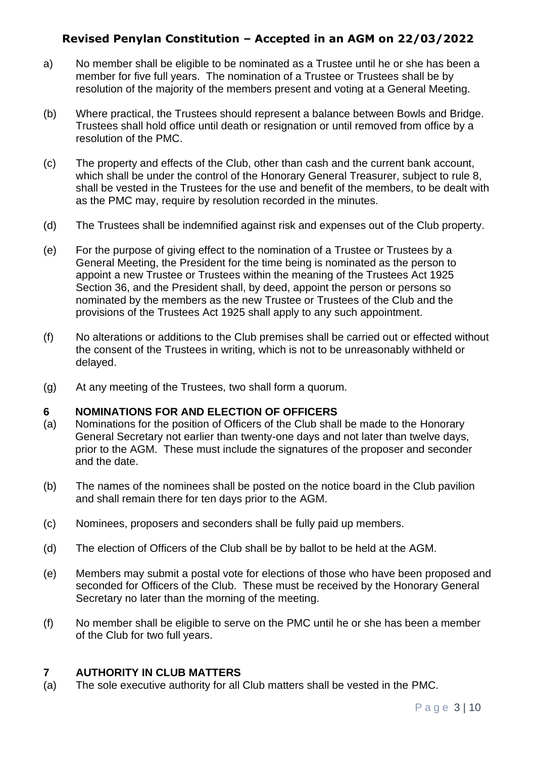- a) No member shall be eligible to be nominated as a Trustee until he or she has been a member for five full years. The nomination of a Trustee or Trustees shall be by resolution of the majority of the members present and voting at a General Meeting.
- (b) Where practical, the Trustees should represent a balance between Bowls and Bridge. Trustees shall hold office until death or resignation or until removed from office by a resolution of the PMC.
- (c) The property and effects of the Club, other than cash and the current bank account, which shall be under the control of the Honorary General Treasurer, subject to rule 8, shall be vested in the Trustees for the use and benefit of the members, to be dealt with as the PMC may, require by resolution recorded in the minutes.
- (d) The Trustees shall be indemnified against risk and expenses out of the Club property.
- (e) For the purpose of giving effect to the nomination of a Trustee or Trustees by a General Meeting, the President for the time being is nominated as the person to appoint a new Trustee or Trustees within the meaning of the Trustees Act 1925 Section 36, and the President shall, by deed, appoint the person or persons so nominated by the members as the new Trustee or Trustees of the Club and the provisions of the Trustees Act 1925 shall apply to any such appointment.
- (f) No alterations or additions to the Club premises shall be carried out or effected without the consent of the Trustees in writing, which is not to be unreasonably withheld or delayed.
- (g) At any meeting of the Trustees, two shall form a quorum.

## **6 NOMINATIONS FOR AND ELECTION OF OFFICERS**

- (a) Nominations for the position of Officers of the Club shall be made to the Honorary General Secretary not earlier than twenty-one days and not later than twelve days, prior to the AGM. These must include the signatures of the proposer and seconder and the date.
- (b) The names of the nominees shall be posted on the notice board in the Club pavilion and shall remain there for ten days prior to the AGM.
- (c) Nominees, proposers and seconders shall be fully paid up members.
- (d) The election of Officers of the Club shall be by ballot to be held at the AGM.
- (e) Members may submit a postal vote for elections of those who have been proposed and seconded for Officers of the Club. These must be received by the Honorary General Secretary no later than the morning of the meeting.
- (f) No member shall be eligible to serve on the PMC until he or she has been a member of the Club for two full years.

## **7 AUTHORITY IN CLUB MATTERS**

(a) The sole executive authority for all Club matters shall be vested in the PMC.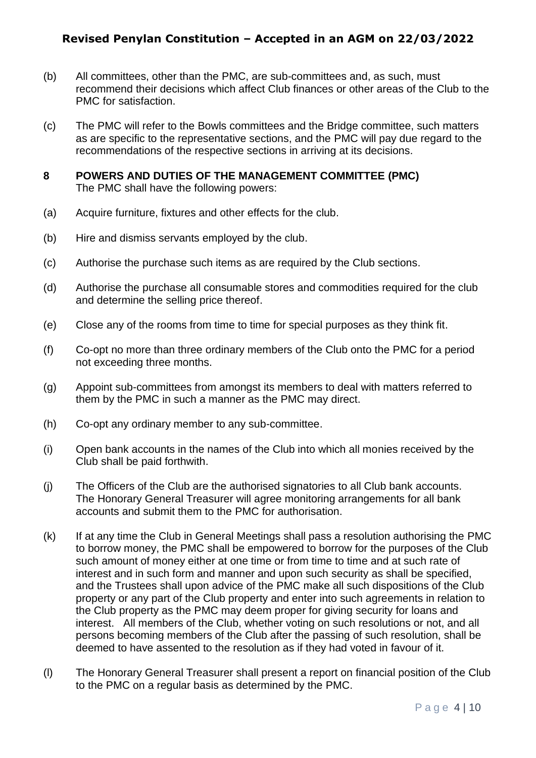- (b) All committees, other than the PMC, are sub-committees and, as such, must recommend their decisions which affect Club finances or other areas of the Club to the PMC for satisfaction.
- (c) The PMC will refer to the Bowls committees and the Bridge committee, such matters as are specific to the representative sections, and the PMC will pay due regard to the recommendations of the respective sections in arriving at its decisions.
- **8 POWERS AND DUTIES OF THE MANAGEMENT COMMITTEE (PMC)** The PMC shall have the following powers:
- (a) Acquire furniture, fixtures and other effects for the club.
- (b) Hire and dismiss servants employed by the club.
- (c) Authorise the purchase such items as are required by the Club sections.
- (d) Authorise the purchase all consumable stores and commodities required for the club and determine the selling price thereof.
- (e) Close any of the rooms from time to time for special purposes as they think fit.
- (f) Co-opt no more than three ordinary members of the Club onto the PMC for a period not exceeding three months.
- (g) Appoint sub-committees from amongst its members to deal with matters referred to them by the PMC in such a manner as the PMC may direct.
- (h) Co-opt any ordinary member to any sub-committee.
- (i) Open bank accounts in the names of the Club into which all monies received by the Club shall be paid forthwith.
- (j) The Officers of the Club are the authorised signatories to all Club bank accounts. The Honorary General Treasurer will agree monitoring arrangements for all bank accounts and submit them to the PMC for authorisation.
- (k) If at any time the Club in General Meetings shall pass a resolution authorising the PMC to borrow money, the PMC shall be empowered to borrow for the purposes of the Club such amount of money either at one time or from time to time and at such rate of interest and in such form and manner and upon such security as shall be specified, and the Trustees shall upon advice of the PMC make all such dispositions of the Club property or any part of the Club property and enter into such agreements in relation to the Club property as the PMC may deem proper for giving security for loans and interest. All members of the Club, whether voting on such resolutions or not, and all persons becoming members of the Club after the passing of such resolution, shall be deemed to have assented to the resolution as if they had voted in favour of it.
- (l) The Honorary General Treasurer shall present a report on financial position of the Club to the PMC on a regular basis as determined by the PMC.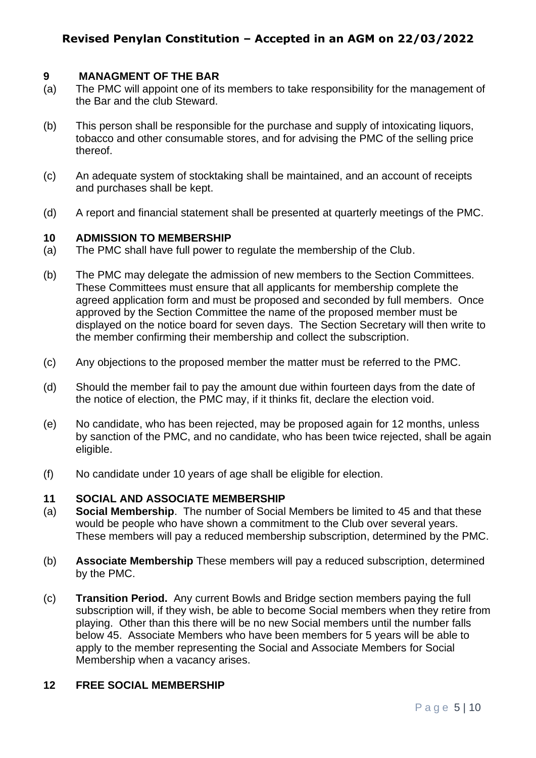### **9 MANAGMENT OF THE BAR**

- (a) The PMC will appoint one of its members to take responsibility for the management of the Bar and the club Steward.
- (b) This person shall be responsible for the purchase and supply of intoxicating liquors, tobacco and other consumable stores, and for advising the PMC of the selling price thereof.
- (c) An adequate system of stocktaking shall be maintained, and an account of receipts and purchases shall be kept.
- (d) A report and financial statement shall be presented at quarterly meetings of the PMC.

#### **10 ADMISSION TO MEMBERSHIP**

- (a) The PMC shall have full power to regulate the membership of the Club.
- (b) The PMC may delegate the admission of new members to the Section Committees. These Committees must ensure that all applicants for membership complete the agreed application form and must be proposed and seconded by full members. Once approved by the Section Committee the name of the proposed member must be displayed on the notice board for seven days. The Section Secretary will then write to the member confirming their membership and collect the subscription.
- (c) Any objections to the proposed member the matter must be referred to the PMC.
- (d) Should the member fail to pay the amount due within fourteen days from the date of the notice of election, the PMC may, if it thinks fit, declare the election void.
- (e) No candidate, who has been rejected, may be proposed again for 12 months, unless by sanction of the PMC, and no candidate, who has been twice rejected, shall be again eligible.
- (f) No candidate under 10 years of age shall be eligible for election.

## **11 SOCIAL AND ASSOCIATE MEMBERSHIP**

- (a) **Social Membership**. The number of Social Members be limited to 45 and that these would be people who have shown a commitment to the Club over several years. These members will pay a reduced membership subscription, determined by the PMC.
- (b) **Associate Membership** These members will pay a reduced subscription, determined by the PMC.
- (c) **Transition Period.** Any current Bowls and Bridge section members paying the full subscription will, if they wish, be able to become Social members when they retire from playing. Other than this there will be no new Social members until the number falls below 45. Associate Members who have been members for 5 years will be able to apply to the member representing the Social and Associate Members for Social Membership when a vacancy arises.

## **12 FREE SOCIAL MEMBERSHIP**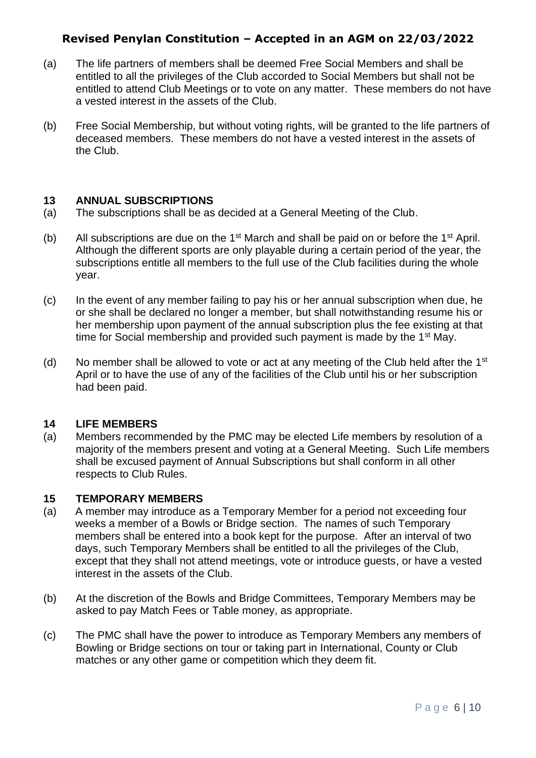- (a) The life partners of members shall be deemed Free Social Members and shall be entitled to all the privileges of the Club accorded to Social Members but shall not be entitled to attend Club Meetings or to vote on any matter. These members do not have a vested interest in the assets of the Club.
- (b) Free Social Membership, but without voting rights, will be granted to the life partners of deceased members. These members do not have a vested interest in the assets of the Club.

## **13 ANNUAL SUBSCRIPTIONS**

- (a) The subscriptions shall be as decided at a General Meeting of the Club.
- (b) All subscriptions are due on the 1<sup>st</sup> March and shall be paid on or before the 1<sup>st</sup> April. Although the different sports are only playable during a certain period of the year, the subscriptions entitle all members to the full use of the Club facilities during the whole year.
- (c) In the event of any member failing to pay his or her annual subscription when due, he or she shall be declared no longer a member, but shall notwithstanding resume his or her membership upon payment of the annual subscription plus the fee existing at that time for Social membership and provided such payment is made by the 1<sup>st</sup> May.
- (d) No member shall be allowed to vote or act at any meeting of the Club held after the 1<sup>st</sup> April or to have the use of any of the facilities of the Club until his or her subscription had been paid.

## **14 LIFE MEMBERS**

(a) Members recommended by the PMC may be elected Life members by resolution of a majority of the members present and voting at a General Meeting. Such Life members shall be excused payment of Annual Subscriptions but shall conform in all other respects to Club Rules.

## **15 TEMPORARY MEMBERS**

- (a) A member may introduce as a Temporary Member for a period not exceeding four weeks a member of a Bowls or Bridge section. The names of such Temporary members shall be entered into a book kept for the purpose. After an interval of two days, such Temporary Members shall be entitled to all the privileges of the Club, except that they shall not attend meetings, vote or introduce guests, or have a vested interest in the assets of the Club.
- (b) At the discretion of the Bowls and Bridge Committees, Temporary Members may be asked to pay Match Fees or Table money, as appropriate.
- (c) The PMC shall have the power to introduce as Temporary Members any members of Bowling or Bridge sections on tour or taking part in International, County or Club matches or any other game or competition which they deem fit.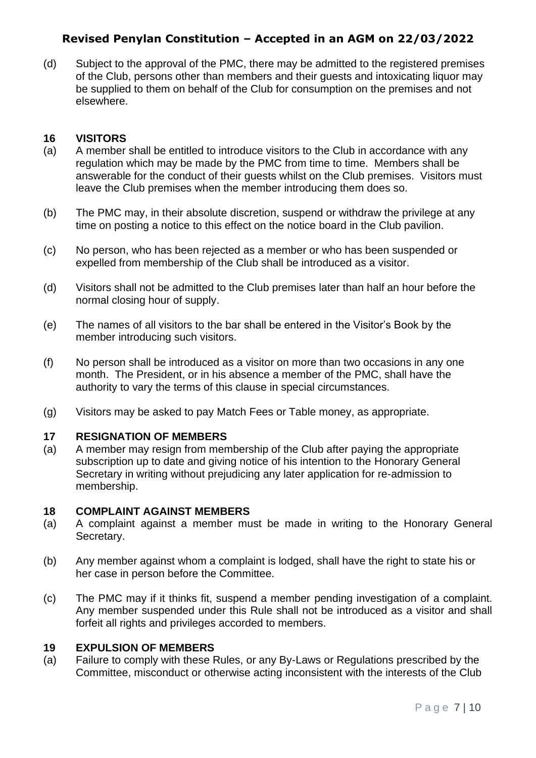(d) Subject to the approval of the PMC, there may be admitted to the registered premises of the Club, persons other than members and their guests and intoxicating liquor may be supplied to them on behalf of the Club for consumption on the premises and not elsewhere.

### **16 VISITORS**

- (a) A member shall be entitled to introduce visitors to the Club in accordance with any regulation which may be made by the PMC from time to time. Members shall be answerable for the conduct of their guests whilst on the Club premises. Visitors must leave the Club premises when the member introducing them does so.
- (b) The PMC may, in their absolute discretion, suspend or withdraw the privilege at any time on posting a notice to this effect on the notice board in the Club pavilion.
- (c) No person, who has been rejected as a member or who has been suspended or expelled from membership of the Club shall be introduced as a visitor.
- (d) Visitors shall not be admitted to the Club premises later than half an hour before the normal closing hour of supply.
- (e) The names of all visitors to the bar shall be entered in the Visitor's Book by the member introducing such visitors.
- (f) No person shall be introduced as a visitor on more than two occasions in any one month. The President, or in his absence a member of the PMC, shall have the authority to vary the terms of this clause in special circumstances.
- (g) Visitors may be asked to pay Match Fees or Table money, as appropriate.

#### **17 RESIGNATION OF MEMBERS**

(a) A member may resign from membership of the Club after paying the appropriate subscription up to date and giving notice of his intention to the Honorary General Secretary in writing without prejudicing any later application for re-admission to membership.

#### **18 COMPLAINT AGAINST MEMBERS**

- (a) A complaint against a member must be made in writing to the Honorary General Secretary.
- (b) Any member against whom a complaint is lodged, shall have the right to state his or her case in person before the Committee.
- (c) The PMC may if it thinks fit, suspend a member pending investigation of a complaint. Any member suspended under this Rule shall not be introduced as a visitor and shall forfeit all rights and privileges accorded to members.

#### **19 EXPULSION OF MEMBERS**

(a) Failure to comply with these Rules, or any By-Laws or Regulations prescribed by the Committee, misconduct or otherwise acting inconsistent with the interests of the Club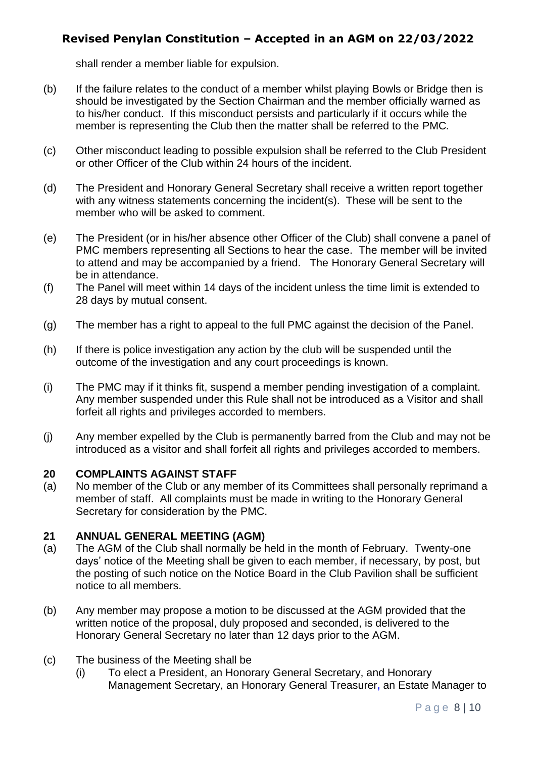shall render a member liable for expulsion.

- (b) If the failure relates to the conduct of a member whilst playing Bowls or Bridge then is should be investigated by the Section Chairman and the member officially warned as to his/her conduct. If this misconduct persists and particularly if it occurs while the member is representing the Club then the matter shall be referred to the PMC*.*
- (c) Other misconduct leading to possible expulsion shall be referred to the Club President or other Officer of the Club within 24 hours of the incident.
- (d) The President and Honorary General Secretary shall receive a written report together with any witness statements concerning the incident(s). These will be sent to the member who will be asked to comment.
- (e) The President (or in his/her absence other Officer of the Club) shall convene a panel of PMC members representing all Sections to hear the case. The member will be invited to attend and may be accompanied by a friend. The Honorary General Secretary will be in attendance.
- (f) The Panel will meet within 14 days of the incident unless the time limit is extended to 28 days by mutual consent.
- (g) The member has a right to appeal to the full PMC against the decision of the Panel.
- (h) If there is police investigation any action by the club will be suspended until the outcome of the investigation and any court proceedings is known.
- (i) The PMC may if it thinks fit, suspend a member pending investigation of a complaint. Any member suspended under this Rule shall not be introduced as a Visitor and shall forfeit all rights and privileges accorded to members.
- (j) Any member expelled by the Club is permanently barred from the Club and may not be introduced as a visitor and shall forfeit all rights and privileges accorded to members.

#### **20 COMPLAINTS AGAINST STAFF**

(a) No member of the Club or any member of its Committees shall personally reprimand a member of staff. All complaints must be made in writing to the Honorary General Secretary for consideration by the PMC.

#### **21 ANNUAL GENERAL MEETING (AGM)**

- (a) The AGM of the Club shall normally be held in the month of February. Twenty-one days' notice of the Meeting shall be given to each member, if necessary, by post, but the posting of such notice on the Notice Board in the Club Pavilion shall be sufficient notice to all members.
- (b) Any member may propose a motion to be discussed at the AGM provided that the written notice of the proposal, duly proposed and seconded, is delivered to the Honorary General Secretary no later than 12 days prior to the AGM.
- (c) The business of the Meeting shall be
	- (i) To elect a President, an Honorary General Secretary, and Honorary Management Secretary, an Honorary General Treasurer**,** an Estate Manager to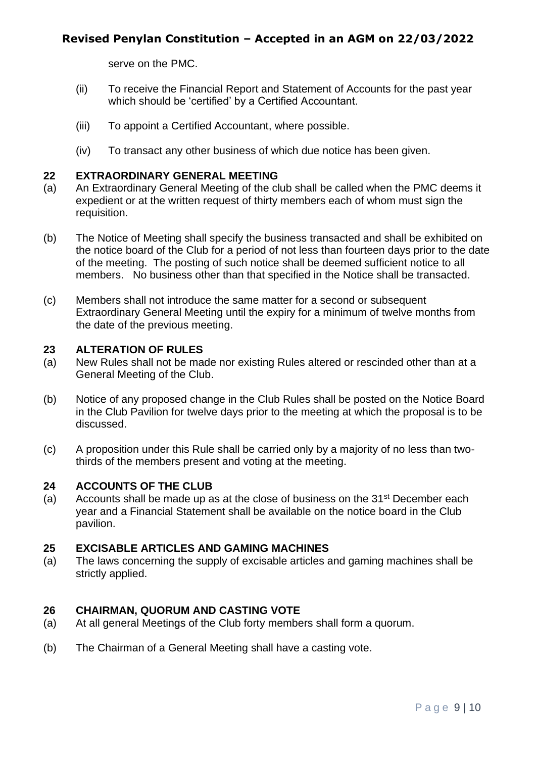serve on the PMC.

- (ii) To receive the Financial Report and Statement of Accounts for the past year which should be 'certified' by a Certified Accountant.
- (iii) To appoint a Certified Accountant, where possible.
- (iv) To transact any other business of which due notice has been given.

### **22 EXTRAORDINARY GENERAL MEETING**

- (a) An Extraordinary General Meeting of the club shall be called when the PMC deems it expedient or at the written request of thirty members each of whom must sign the requisition.
- (b) The Notice of Meeting shall specify the business transacted and shall be exhibited on the notice board of the Club for a period of not less than fourteen days prior to the date of the meeting. The posting of such notice shall be deemed sufficient notice to all members. No business other than that specified in the Notice shall be transacted.
- (c) Members shall not introduce the same matter for a second or subsequent Extraordinary General Meeting until the expiry for a minimum of twelve months from the date of the previous meeting.

## **23 ALTERATION OF RULES**

- (a) New Rules shall not be made nor existing Rules altered or rescinded other than at a General Meeting of the Club.
- (b) Notice of any proposed change in the Club Rules shall be posted on the Notice Board in the Club Pavilion for twelve days prior to the meeting at which the proposal is to be discussed.
- (c) A proposition under this Rule shall be carried only by a majority of no less than twothirds of the members present and voting at the meeting.

#### **24 ACCOUNTS OF THE CLUB**

(a) Accounts shall be made up as at the close of business on the  $31<sup>st</sup>$  December each year and a Financial Statement shall be available on the notice board in the Club pavilion.

### **25 EXCISABLE ARTICLES AND GAMING MACHINES**

(a) The laws concerning the supply of excisable articles and gaming machines shall be strictly applied.

#### **26 CHAIRMAN, QUORUM AND CASTING VOTE**

- (a) At all general Meetings of the Club forty members shall form a quorum.
- (b) The Chairman of a General Meeting shall have a casting vote.